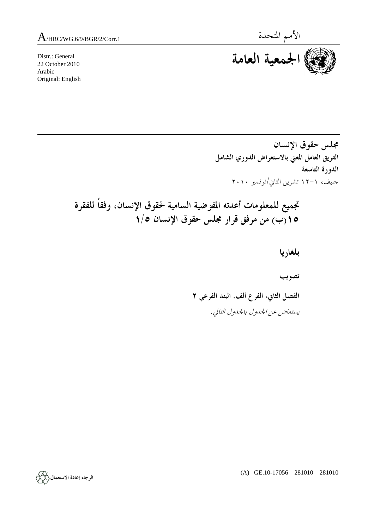Distr.: General 22 October 2010 Arabic Original: English



**مجلس حقوق الإنسان الفريق العامل المعني بالاستعراض الدوري الشامل الدورة التاسعة**  جنيف، ١٢-١ تشرين الثاني/نوفمبر ٢٠١٠

**تجميع للمعلومات أعدته المفوضية السامية لحقوق الإنسان، وفقاً للفقرة ١٥(ب) من مرفق قرار مجلس حقوق الإنسان ١/٥** 

> **بلغاريا تصويب الفصل الثاني، الفرع ألف، البند الفرعي ٢**  يستعاض عن الجدول بالجدول التالي.

> > (A) GE.10-17056 281010 281010